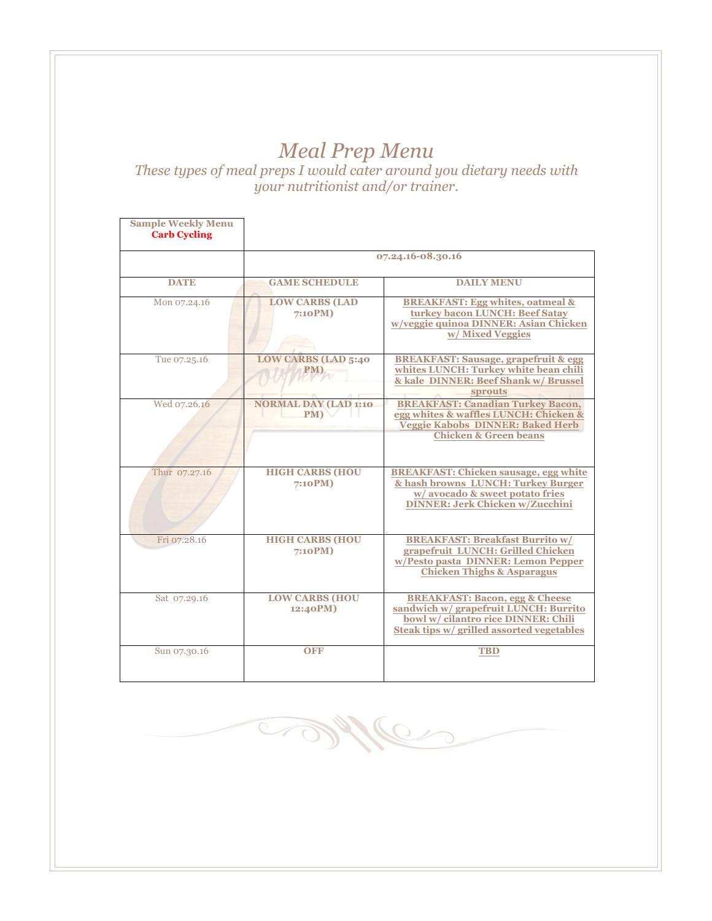## *Meal Prep Menu*

*These types of meal preps I would cater around you dietary needs with your nutritionist and/or trainer.* 

| <b>Sample Weekly Menu</b><br><b>Carb Cycling</b> |                                    |                                                                                                                                                                        |
|--------------------------------------------------|------------------------------------|------------------------------------------------------------------------------------------------------------------------------------------------------------------------|
|                                                  | 07.24.16-08.30.16                  |                                                                                                                                                                        |
| <b>DATE</b>                                      | <b>GAME SCHEDULE</b>               | <b>DAILY MENU</b>                                                                                                                                                      |
| Mon 07.24.16                                     | <b>LOW CARBS (LAD</b><br>7:10PM)   | <b>BREAKFAST: Egg whites, oatmeal &amp;</b><br>turkey bacon LUNCH: Beef Satay<br>w/veggie quinoa DINNER: Asian Chicken<br>w/Mixed Veggies                              |
| Tue 07.25.16                                     | <b>LOW CARBS (LAD 5:40</b>         | <b>BREAKFAST: Sausage, grapefruit &amp; egg</b><br>whites LUNCH: Turkey white bean chili<br>& kale DINNER: Beef Shank w/ Brussel<br><b>sprouts</b>                     |
| Wed 07.26.16                                     | <b>NORMAL DAY (LAD 1:10</b><br>PM) | <b>BREAKFAST: Canadian Turkey Bacon,</b><br>egg whites & waffles LUNCH: Chicken &<br><b>Veggie Kabobs DINNER: Baked Herb</b><br><b>Chicken &amp; Green beans</b>       |
| Thur 07.27.16                                    | <b>HIGH CARBS (HOU</b><br>7:10PM)  | <b>BREAKFAST: Chicken sausage, egg white</b><br>& hash browns LUNCH: Turkey Burger<br>w/avocado & sweet potato fries<br><b>DINNER: Jerk Chicken w/Zucchini</b>         |
| Fri 07.28.16                                     | <b>HIGH CARBS (HOU</b><br>7:10PM)  | <b>BREAKFAST: Breakfast Burrito w/</b><br>grapefruit LUNCH: Grilled Chicken<br>w/Pesto pasta DINNER: Lemon Pepper<br><b>Chicken Thighs &amp; Asparagus</b>             |
| Sat 07.29.16                                     | <b>LOW CARBS (HOU</b><br>12:40PM)  | <b>BREAKFAST: Bacon, egg &amp; Cheese</b><br>sandwich w/ grapefruit LUNCH: Burrito<br>bowl w/ cilantro rice DINNER: Chili<br>Steak tips w/ grilled assorted vegetables |
| Sun 07.30.16                                     | <b>OFF</b>                         | <b>TBD</b>                                                                                                                                                             |